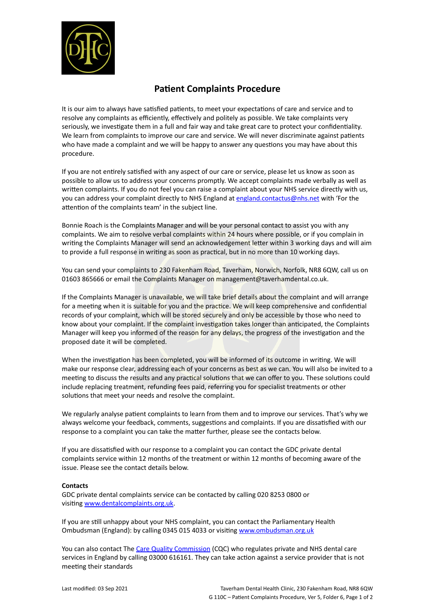

## **Patient Complaints Procedure**

It is our aim to always have satisfied patients, to meet your expectations of care and service and to resolve any complaints as efficiently, effectively and politely as possible. We take complaints very seriously, we investigate them in a full and fair way and take great care to protect your confidentiality. We learn from complaints to improve our care and service. We will never discriminate against patients who have made a complaint and we will be happy to answer any questions you may have about this procedure.

If you are not entirely satisfied with any aspect of our care or service, please let us know as soon as possible to allow us to address your concerns promptly. We accept complaints made verbally as well as written complaints. If you do not feel you can raise a complaint about your NHS service directly with us, you can address your complaint directly to NHS England at [england.contactus@nhs.net](mailto:england.contactus@nhs.net) with 'For the attention of the complaints team' in the subject line.

Bonnie Roach is the Complaints Manager and will be your personal contact to assist you with any complaints. We aim to resolve verbal complaints within 24 hours where possible, or if you complain in writing the Complaints Manager will send an acknowledgement letter within 3 working days and will aim to provide a full response in writing as soon as practical, but in no more than 10 working days.

You can send your complaints to 230 Fakenham Road, Taverham, Norwich, Norfolk, NR8 6QW, call us on 01603 865666 or email the Complaints Manager on management@taverhamdental.co.uk.

If the Complaints Manager is unavailable, we will take brief details about the complaint and will arrange for a meeting when it is suitable for you and the practice. We will keep comprehensive and confidential records of your complaint, which will be stored securely and only be accessible by those who need to know about your complaint. If the complaint investigation takes longer than anticipated, the Complaints Manager will keep you informed of the reason for any delays, the progress of the investigation and the proposed date it will be completed.

When the investigation has been completed, you will be informed of its outcome in writing. We will make our response clear, addressing each of your concerns as best as we can. You will also be invited to a meeting to discuss the results and any practical solutions that we can offer to you. These solutions could include replacing treatment, refunding fees paid, referring you for specialist treatments or other solutions that meet your needs and resolve the complaint.

We regularly analyse patient complaints to learn from them and to improve our services. That's why we always welcome your feedback, comments, suggestions and complaints. If you are dissatisfied with our response to a complaint you can take the matter further, please see the contacts below.

If you are dissatisfied with our response to a complaint you can contact the GDC private dental complaints service within 12 months of the treatment or within 12 months of becoming aware of the issue. Please see the contact details below.

## **Contacts**

GDC private dental complaints service can be contacted by calling 020 8253 0800 or visiting [www.dentalcomplaints.org.uk](http://www.dentalcomplaints.org.uk/).

If you are still unhappy about your NHS complaint, you can contact the Parliamentary Health Ombudsman (England): by calling 0345 015 4033 or visiting [www.ombudsman.org.uk](http://www.ombudsman.org.uk/)

You can also contact The [Care Quality Commission](http://www.cqc.org.uk/) (CQC) who regulates private and NHS dental care services in England by calling 03000 616161. They can take action against a service provider that is not meeting their standards